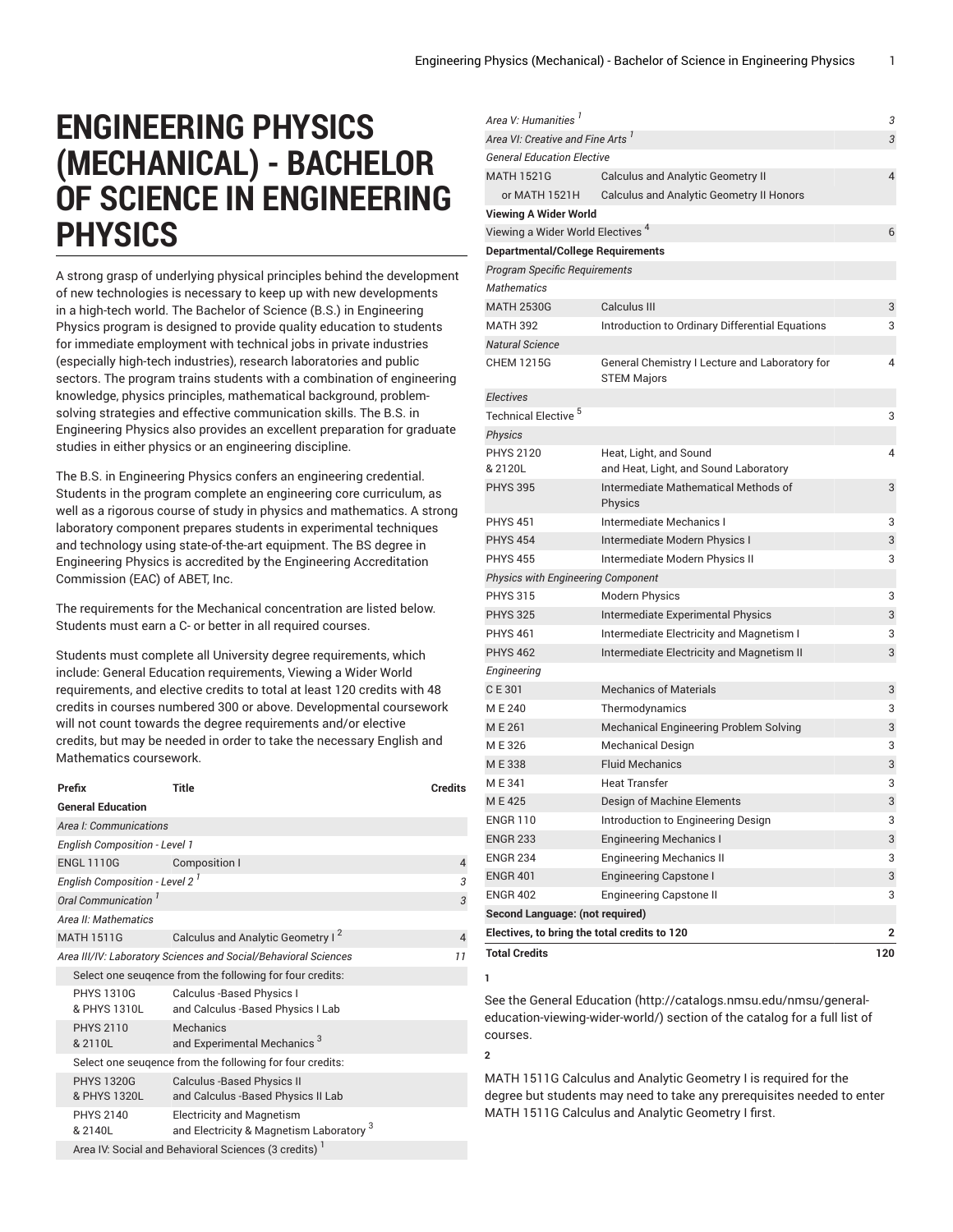## **ENGINEERING PHYSICS (MECHANICAL) - BACHELOR OF SCIENCE IN ENGINEERING PHYSICS**

A strong grasp of underlying physical principles behind the development of new technologies is necessary to keep up with new developments in a high-tech world. The Bachelor of Science (B.S.) in Engineering Physics program is designed to provide quality education to students for immediate employment with technical jobs in private industries (especially high-tech industries), research laboratories and public sectors. The program trains students with a combination of engineering knowledge, physics principles, mathematical background, problemsolving strategies and effective communication skills. The B.S. in Engineering Physics also provides an excellent preparation for graduate studies in either physics or an engineering discipline.

The B.S. in Engineering Physics confers an engineering credential. Students in the program complete an engineering core curriculum, as well as a rigorous course of study in physics and mathematics. A strong laboratory component prepares students in experimental techniques and technology using state-of-the-art equipment. The BS degree in Engineering Physics is accredited by the Engineering Accreditation Commission (EAC) of ABET, Inc.

The requirements for the Mechanical concentration are listed below. Students must earn a C- or better in all required courses.

Students must complete all University degree requirements, which include: General Education requirements, Viewing a Wider World requirements, and elective credits to total at least 120 credits with 48 credits in courses numbered 300 or above. Developmental coursework will not count towards the degree requirements and/or elective credits, but may be needed in order to take the necessary English and Mathematics coursework.

| Prefix                                                                | <b>Title</b>                                                                            | <b>Credits</b> |  |
|-----------------------------------------------------------------------|-----------------------------------------------------------------------------------------|----------------|--|
| <b>General Education</b>                                              |                                                                                         |                |  |
| Area I: Communications                                                |                                                                                         |                |  |
| <b>English Composition - Level 1</b>                                  |                                                                                         |                |  |
| <b>ENGL 1110G</b>                                                     | Composition I                                                                           | $\overline{4}$ |  |
| English Composition - Level 2 <sup>1</sup>                            |                                                                                         | 3              |  |
| Oral Communication <sup>1</sup>                                       |                                                                                         | 3              |  |
| Area II: Mathematics                                                  |                                                                                         |                |  |
| <b>MATH 1511G</b>                                                     | Calculus and Analytic Geometry I <sup>2</sup>                                           | $\overline{4}$ |  |
| Area III/IV: Laboratory Sciences and Social/Behavioral Sciences<br>11 |                                                                                         |                |  |
| Select one seugence from the following for four credits:              |                                                                                         |                |  |
| <b>PHYS 1310G</b><br>& PHYS 1310L                                     | Calculus -Based Physics I<br>and Calculus -Based Physics I Lab                          |                |  |
| <b>PHYS 2110</b><br>& 2110L                                           | Mechanics<br>and Experimental Mechanics <sup>3</sup>                                    |                |  |
| Select one seugence from the following for four credits:              |                                                                                         |                |  |
| <b>PHYS 1320G</b><br>& PHYS 1320L                                     | <b>Calculus -Based Physics II</b><br>and Calculus - Based Physics II Lab                |                |  |
| <b>PHYS 2140</b><br>& 2140L                                           | <b>Electricity and Magnetism</b><br>and Electricity & Magnetism Laboratory <sup>3</sup> |                |  |
| Area IV: Social and Behavioral Sciences (3 credits)                   |                                                                                         |                |  |

| Area V: Humanities                           |                                                                      | 3              |
|----------------------------------------------|----------------------------------------------------------------------|----------------|
| Area VI: Creative and Fine Arts <sup>1</sup> |                                                                      | 3              |
| <b>General Education Elective</b>            |                                                                      |                |
| <b>MATH 1521G</b>                            | <b>Calculus and Analytic Geometry II</b>                             | $\overline{4}$ |
| or MATH 1521H                                | <b>Calculus and Analytic Geometry II Honors</b>                      |                |
| <b>Viewing A Wider World</b>                 |                                                                      |                |
| Viewing a Wider World Electives <sup>4</sup> |                                                                      | 6              |
| <b>Departmental/College Requirements</b>     |                                                                      |                |
| <b>Program Specific Requirements</b>         |                                                                      |                |
| <b>Mathematics</b>                           |                                                                      |                |
| <b>MATH 2530G</b>                            | Calculus III                                                         | 3              |
| <b>MATH 392</b>                              | Introduction to Ordinary Differential Equations                      | 3              |
| <b>Natural Science</b>                       |                                                                      |                |
| <b>CHEM 1215G</b>                            | General Chemistry I Lecture and Laboratory for<br><b>STEM Majors</b> | 4              |
| <b>Electives</b>                             |                                                                      |                |
| Technical Elective <sup>5</sup>              |                                                                      | 3              |
| <b>Physics</b>                               |                                                                      |                |
| <b>PHYS 2120</b>                             | Heat, Light, and Sound                                               | 4              |
| & 2120L                                      | and Heat, Light, and Sound Laboratory                                |                |
| <b>PHYS 395</b>                              | Intermediate Mathematical Methods of<br>Physics                      | 3              |
| <b>PHYS 451</b>                              | Intermediate Mechanics I                                             | 3              |
| <b>PHYS 454</b>                              | Intermediate Modern Physics I                                        | 3              |
| <b>PHYS 455</b>                              | Intermediate Modern Physics II                                       | 3              |
| <b>Physics with Engineering Component</b>    |                                                                      |                |
| <b>PHYS 315</b>                              | <b>Modern Physics</b>                                                | 3              |
| <b>PHYS 325</b>                              | Intermediate Experimental Physics                                    | 3              |
| <b>PHYS 461</b>                              | Intermediate Electricity and Magnetism I                             | 3              |
| <b>PHYS 462</b>                              | Intermediate Electricity and Magnetism II                            | 3              |
| Engineering                                  |                                                                      |                |
| CE 301                                       | <b>Mechanics of Materials</b>                                        | 3              |
| ME 240                                       | Thermodynamics                                                       | 3              |
| ME 261                                       | Mechanical Engineering Problem Solving                               | 3              |
| ME326                                        | <b>Mechanical Design</b>                                             | 3              |
| ME338                                        | <b>Fluid Mechanics</b>                                               | 3              |
| ME341                                        | <b>Heat Transfer</b>                                                 | 3              |
| ME425                                        | Design of Machine Elements                                           | 3              |
| <b>ENGR 110</b>                              | Introduction to Engineering Design                                   | 3              |
| <b>ENGR 233</b>                              | <b>Engineering Mechanics I</b>                                       | 3              |
| <b>ENGR 234</b>                              | <b>Engineering Mechanics II</b>                                      | 3              |
| <b>ENGR 401</b>                              | <b>Engineering Capstone I</b>                                        | 3              |
| <b>ENGR 402</b>                              | <b>Engineering Capstone II</b>                                       | 3              |
| Second Language: (not required)              |                                                                      |                |
|                                              | Electives, to bring the total credits to 120                         | 2              |
| <b>Total Credits</b>                         |                                                                      | 120            |
| 1                                            |                                                                      |                |

See the General [Education](http://catalogs.nmsu.edu/nmsu/general-education-viewing-wider-world/) ([http://catalogs.nmsu.edu/nmsu/general](http://catalogs.nmsu.edu/nmsu/general-education-viewing-wider-world/)[education-viewing-wider-world/\)](http://catalogs.nmsu.edu/nmsu/general-education-viewing-wider-world/) section of the catalog for a full list of courses.

**2**

MATH 1511G Calculus and Analytic Geometry I is required for the degree but students may need to take any prerequisites needed to enter MATH 1511G Calculus and Analytic Geometry I first.